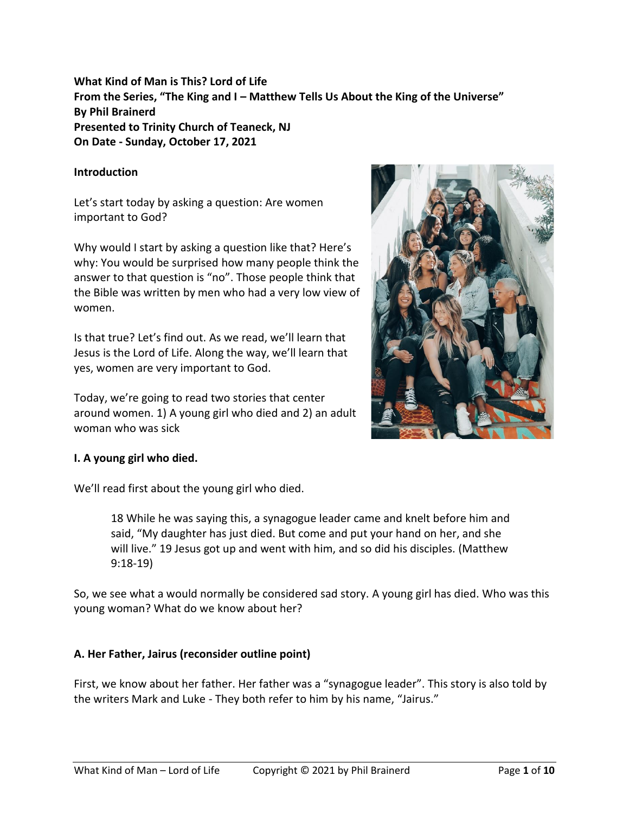# **What Kind of Man is This? Lord of Life From the Series, "The King and I – Matthew Tells Us About the King of the Universe" By Phil Brainerd Presented to Trinity Church of Teaneck, NJ On Date - Sunday, October 17, 2021**

### **Introduction**

Let's start today by asking a question: Are women important to God?

Why would I start by asking a question like that? Here's why: You would be surprised how many people think the answer to that question is "no". Those people think that the Bible was written by men who had a very low view of women.

Is that true? Let's find out. As we read, we'll learn that Jesus is the Lord of Life. Along the way, we'll learn that yes, women are very important to God.

Today, we're going to read two stories that center around women. 1) A young girl who died and 2) an adult woman who was sick



## **I. A young girl who died.**

We'll read first about the young girl who died.

18 While he was saying this, a synagogue leader came and knelt before him and said, "My daughter has just died. But come and put your hand on her, and she will live." 19 Jesus got up and went with him, and so did his disciples. (Matthew 9:18-19)

So, we see what a would normally be considered sad story. A young girl has died. Who was this young woman? What do we know about her?

## **A. Her Father, Jairus (reconsider outline point)**

First, we know about her father. Her father was a "synagogue leader". This story is also told by the writers Mark and Luke - They both refer to him by his name, "Jairus."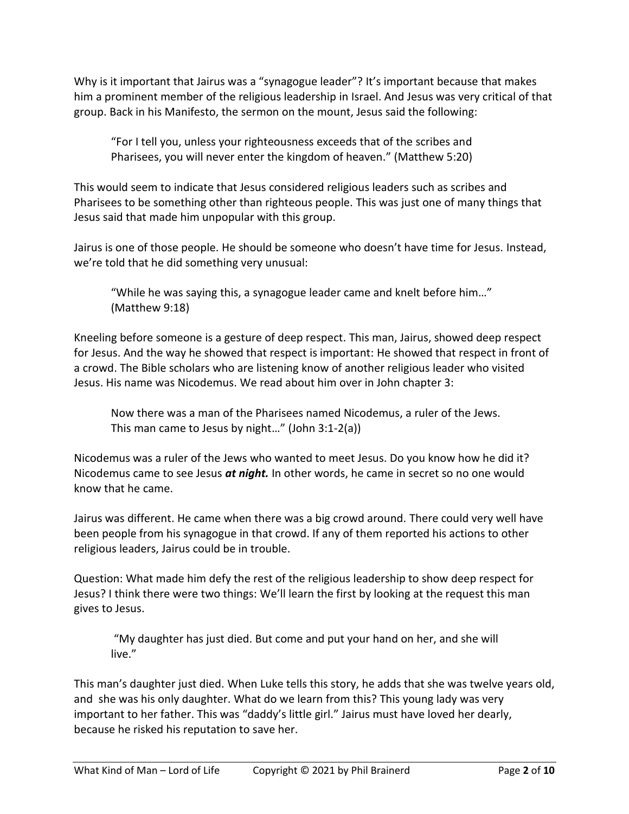Why is it important that Jairus was a "synagogue leader"? It's important because that makes him a prominent member of the religious leadership in Israel. And Jesus was very critical of that group. Back in his Manifesto, the sermon on the mount, Jesus said the following:

"For I tell you, unless your righteousness exceeds that of the scribes and Pharisees, you will never enter the kingdom of heaven." (Matthew 5:20)

This would seem to indicate that Jesus considered religious leaders such as scribes and Pharisees to be something other than righteous people. This was just one of many things that Jesus said that made him unpopular with this group.

Jairus is one of those people. He should be someone who doesn't have time for Jesus. Instead, we're told that he did something very unusual:

"While he was saying this, a synagogue leader came and knelt before him…" (Matthew 9:18)

Kneeling before someone is a gesture of deep respect. This man, Jairus, showed deep respect for Jesus. And the way he showed that respect is important: He showed that respect in front of a crowd. The Bible scholars who are listening know of another religious leader who visited Jesus. His name was Nicodemus. We read about him over in John chapter 3:

Now there was a man of the Pharisees named Nicodemus, a ruler of the Jews. This man came to Jesus by night…" (John 3:1-2(a))

Nicodemus was a ruler of the Jews who wanted to meet Jesus. Do you know how he did it? Nicodemus came to see Jesus *at night.* In other words, he came in secret so no one would know that he came.

Jairus was different. He came when there was a big crowd around. There could very well have been people from his synagogue in that crowd. If any of them reported his actions to other religious leaders, Jairus could be in trouble.

Question: What made him defy the rest of the religious leadership to show deep respect for Jesus? I think there were two things: We'll learn the first by looking at the request this man gives to Jesus.

"My daughter has just died. But come and put your hand on her, and she will live."

This man's daughter just died. When Luke tells this story, he adds that she was twelve years old, and she was his only daughter. What do we learn from this? This young lady was very important to her father. This was "daddy's little girl." Jairus must have loved her dearly, because he risked his reputation to save her.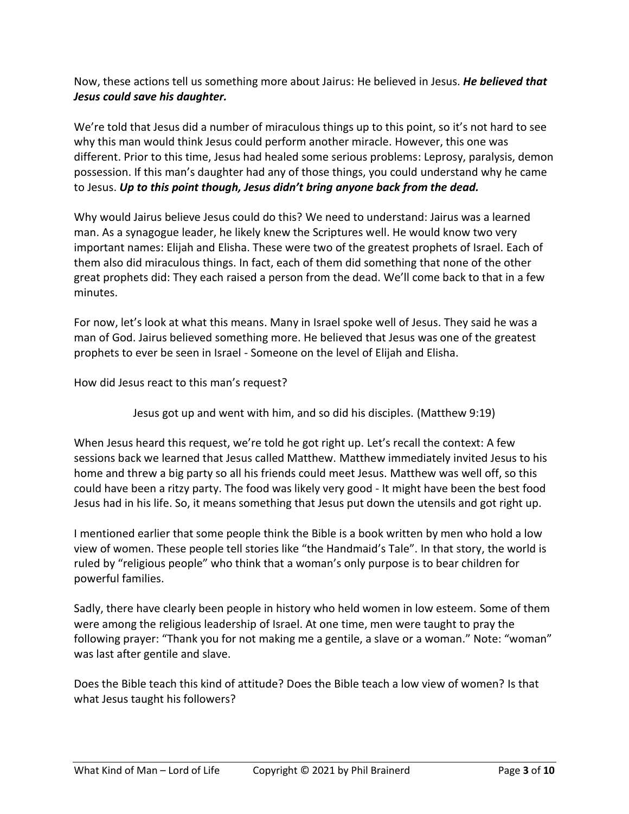Now, these actions tell us something more about Jairus: He believed in Jesus. *He believed that Jesus could save his daughter.*

We're told that Jesus did a number of miraculous things up to this point, so it's not hard to see why this man would think Jesus could perform another miracle. However, this one was different. Prior to this time, Jesus had healed some serious problems: Leprosy, paralysis, demon possession. If this man's daughter had any of those things, you could understand why he came to Jesus. *Up to this point though, Jesus didn't bring anyone back from the dead.*

Why would Jairus believe Jesus could do this? We need to understand: Jairus was a learned man. As a synagogue leader, he likely knew the Scriptures well. He would know two very important names: Elijah and Elisha. These were two of the greatest prophets of Israel. Each of them also did miraculous things. In fact, each of them did something that none of the other great prophets did: They each raised a person from the dead. We'll come back to that in a few minutes.

For now, let's look at what this means. Many in Israel spoke well of Jesus. They said he was a man of God. Jairus believed something more. He believed that Jesus was one of the greatest prophets to ever be seen in Israel - Someone on the level of Elijah and Elisha.

How did Jesus react to this man's request?

Jesus got up and went with him, and so did his disciples. (Matthew 9:19)

When Jesus heard this request, we're told he got right up. Let's recall the context: A few sessions back we learned that Jesus called Matthew. Matthew immediately invited Jesus to his home and threw a big party so all his friends could meet Jesus. Matthew was well off, so this could have been a ritzy party. The food was likely very good - It might have been the best food Jesus had in his life. So, it means something that Jesus put down the utensils and got right up.

I mentioned earlier that some people think the Bible is a book written by men who hold a low view of women. These people tell stories like "the Handmaid's Tale". In that story, the world is ruled by "religious people" who think that a woman's only purpose is to bear children for powerful families.

Sadly, there have clearly been people in history who held women in low esteem. Some of them were among the religious leadership of Israel. At one time, men were taught to pray the following prayer: "Thank you for not making me a gentile, a slave or a woman." Note: "woman" was last after gentile and slave.

Does the Bible teach this kind of attitude? Does the Bible teach a low view of women? Is that what Jesus taught his followers?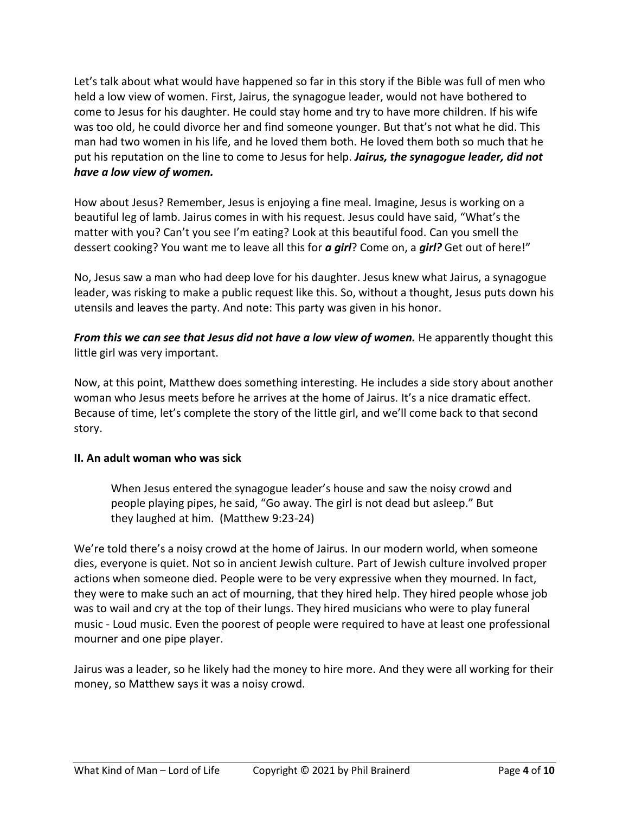Let's talk about what would have happened so far in this story if the Bible was full of men who held a low view of women. First, Jairus, the synagogue leader, would not have bothered to come to Jesus for his daughter. He could stay home and try to have more children. If his wife was too old, he could divorce her and find someone younger. But that's not what he did. This man had two women in his life, and he loved them both. He loved them both so much that he put his reputation on the line to come to Jesus for help. *Jairus, the synagogue leader, did not have a low view of women.*

How about Jesus? Remember, Jesus is enjoying a fine meal. Imagine, Jesus is working on a beautiful leg of lamb. Jairus comes in with his request. Jesus could have said, "What's the matter with you? Can't you see I'm eating? Look at this beautiful food. Can you smell the dessert cooking? You want me to leave all this for *a girl*? Come on, a *girl?* Get out of here!"

No, Jesus saw a man who had deep love for his daughter. Jesus knew what Jairus, a synagogue leader, was risking to make a public request like this. So, without a thought, Jesus puts down his utensils and leaves the party. And note: This party was given in his honor.

*From this we can see that Jesus did not have a low view of women.* He apparently thought this little girl was very important.

Now, at this point, Matthew does something interesting. He includes a side story about another woman who Jesus meets before he arrives at the home of Jairus. It's a nice dramatic effect. Because of time, let's complete the story of the little girl, and we'll come back to that second story.

## **II. An adult woman who was sick**

When Jesus entered the synagogue leader's house and saw the noisy crowd and people playing pipes, he said, "Go away. The girl is not dead but asleep." But they laughed at him. (Matthew 9:23-24)

We're told there's a noisy crowd at the home of Jairus. In our modern world, when someone dies, everyone is quiet. Not so in ancient Jewish culture. Part of Jewish culture involved proper actions when someone died. People were to be very expressive when they mourned. In fact, they were to make such an act of mourning, that they hired help. They hired people whose job was to wail and cry at the top of their lungs. They hired musicians who were to play funeral music - Loud music. Even the poorest of people were required to have at least one professional mourner and one pipe player.

Jairus was a leader, so he likely had the money to hire more. And they were all working for their money, so Matthew says it was a noisy crowd.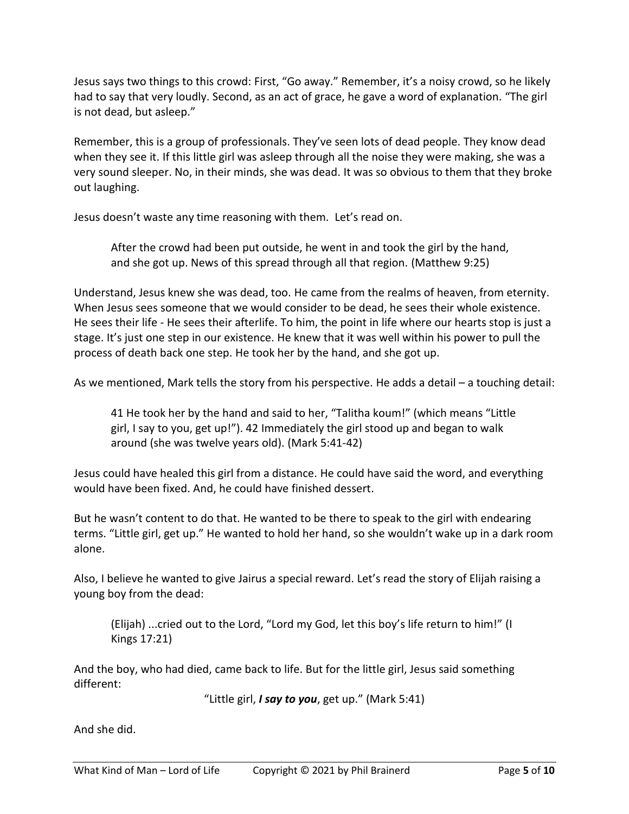Jesus says two things to this crowd: First, "Go away." Remember, it's a noisy crowd, so he likely had to say that very loudly. Second, as an act of grace, he gave a word of explanation. "The girl is not dead, but asleep."

Remember, this is a group of professionals. They've seen lots of dead people. They know dead when they see it. If this little girl was asleep through all the noise they were making, she was a very sound sleeper. No, in their minds, she was dead. It was so obvious to them that they broke out laughing.

Jesus doesn't waste any time reasoning with them. Let's read on.

After the crowd had been put outside, he went in and took the girl by the hand, and she got up. News of this spread through all that region. (Matthew 9:25)

Understand, Jesus knew she was dead, too. He came from the realms of heaven, from eternity. When Jesus sees someone that we would consider to be dead, he sees their whole existence. He sees their life - He sees their afterlife. To him, the point in life where our hearts stop is just a stage. It's just one step in our existence. He knew that it was well within his power to pull the process of death back one step. He took her by the hand, and she got up.

As we mentioned, Mark tells the story from his perspective. He adds a detail – a touching detail:

41 He took her by the hand and said to her, "Talitha koum!" (which means "Little girl, I say to you, get up!"). 42 Immediately the girl stood up and began to walk around (she was twelve years old). (Mark 5:41-42)

Jesus could have healed this girl from a distance. He could have said the word, and everything would have been fixed. And, he could have finished dessert.

But he wasn't content to do that. He wanted to be there to speak to the girl with endearing terms. "Little girl, get up." He wanted to hold her hand, so she wouldn't wake up in a dark room alone.

Also, I believe he wanted to give Jairus a special reward. Let's read the story of Elijah raising a young boy from the dead:

(Elijah) ...cried out to the Lord, "Lord my God, let this boy's life return to him!" (I Kings 17:21)

And the boy, who had died, came back to life. But for the little girl, Jesus said something different:

"Little girl, *I say to you*, get up." (Mark 5:41)

And she did.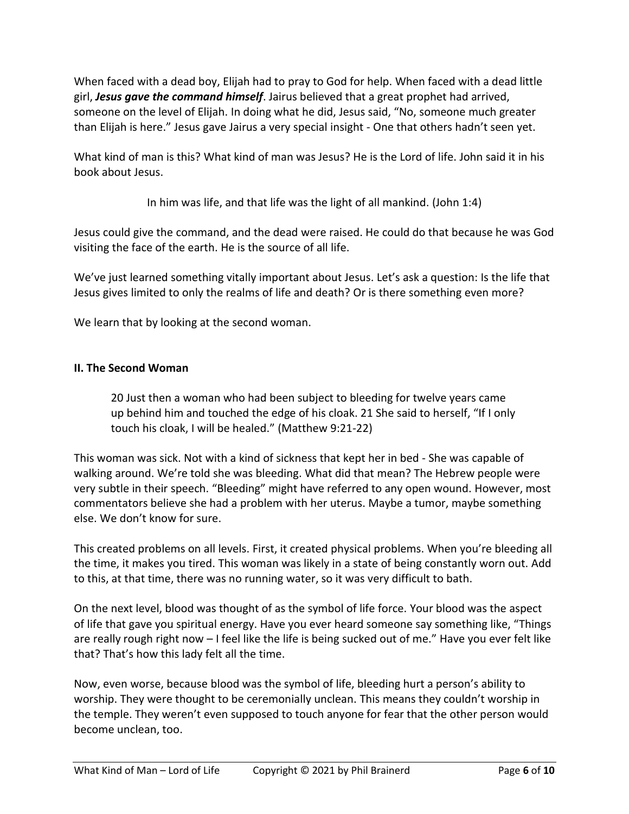When faced with a dead boy, Elijah had to pray to God for help. When faced with a dead little girl, *Jesus gave the command himself*. Jairus believed that a great prophet had arrived, someone on the level of Elijah. In doing what he did, Jesus said, "No, someone much greater than Elijah is here." Jesus gave Jairus a very special insight - One that others hadn't seen yet.

What kind of man is this? What kind of man was Jesus? He is the Lord of life. John said it in his book about Jesus.

In him was life, and that life was the light of all mankind. (John 1:4)

Jesus could give the command, and the dead were raised. He could do that because he was God visiting the face of the earth. He is the source of all life.

We've just learned something vitally important about Jesus. Let's ask a question: Is the life that Jesus gives limited to only the realms of life and death? Or is there something even more?

We learn that by looking at the second woman.

## **II. The Second Woman**

20 Just then a woman who had been subject to bleeding for twelve years came up behind him and touched the edge of his cloak. 21 She said to herself, "If I only touch his cloak, I will be healed." (Matthew 9:21-22)

This woman was sick. Not with a kind of sickness that kept her in bed - She was capable of walking around. We're told she was bleeding. What did that mean? The Hebrew people were very subtle in their speech. "Bleeding" might have referred to any open wound. However, most commentators believe she had a problem with her uterus. Maybe a tumor, maybe something else. We don't know for sure.

This created problems on all levels. First, it created physical problems. When you're bleeding all the time, it makes you tired. This woman was likely in a state of being constantly worn out. Add to this, at that time, there was no running water, so it was very difficult to bath.

On the next level, blood was thought of as the symbol of life force. Your blood was the aspect of life that gave you spiritual energy. Have you ever heard someone say something like, "Things are really rough right now – I feel like the life is being sucked out of me." Have you ever felt like that? That's how this lady felt all the time.

Now, even worse, because blood was the symbol of life, bleeding hurt a person's ability to worship. They were thought to be ceremonially unclean. This means they couldn't worship in the temple. They weren't even supposed to touch anyone for fear that the other person would become unclean, too.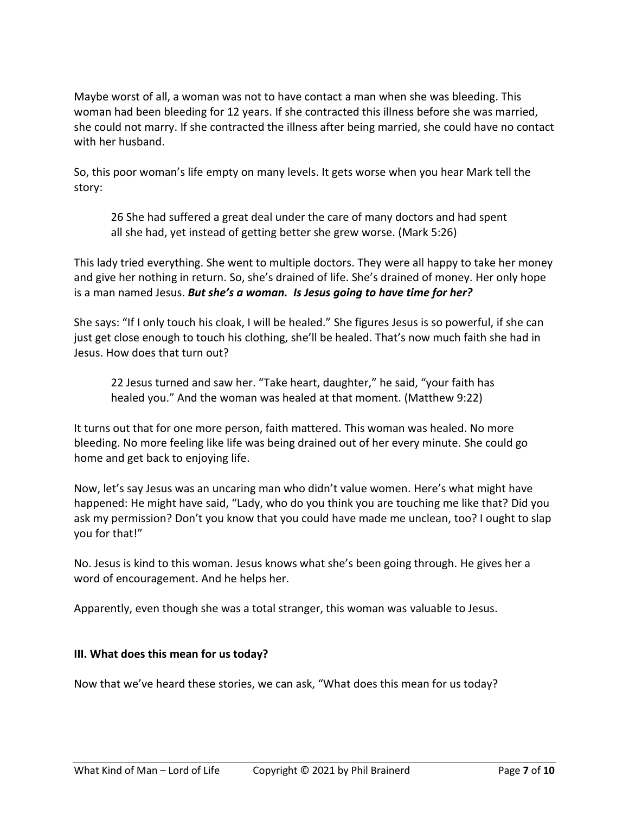Maybe worst of all, a woman was not to have contact a man when she was bleeding. This woman had been bleeding for 12 years. If she contracted this illness before she was married, she could not marry. If she contracted the illness after being married, she could have no contact with her husband.

So, this poor woman's life empty on many levels. It gets worse when you hear Mark tell the story:

26 She had suffered a great deal under the care of many doctors and had spent all she had, yet instead of getting better she grew worse. (Mark 5:26)

This lady tried everything. She went to multiple doctors. They were all happy to take her money and give her nothing in return. So, she's drained of life. She's drained of money. Her only hope is a man named Jesus. *But she's a woman. Is Jesus going to have time for her?*

She says: "If I only touch his cloak, I will be healed." She figures Jesus is so powerful, if she can just get close enough to touch his clothing, she'll be healed. That's now much faith she had in Jesus. How does that turn out?

22 Jesus turned and saw her. "Take heart, daughter," he said, "your faith has healed you." And the woman was healed at that moment. (Matthew 9:22)

It turns out that for one more person, faith mattered. This woman was healed. No more bleeding. No more feeling like life was being drained out of her every minute. She could go home and get back to enjoying life.

Now, let's say Jesus was an uncaring man who didn't value women. Here's what might have happened: He might have said, "Lady, who do you think you are touching me like that? Did you ask my permission? Don't you know that you could have made me unclean, too? I ought to slap you for that!"

No. Jesus is kind to this woman. Jesus knows what she's been going through. He gives her a word of encouragement. And he helps her.

Apparently, even though she was a total stranger, this woman was valuable to Jesus.

## **III. What does this mean for us today?**

Now that we've heard these stories, we can ask, "What does this mean for us today?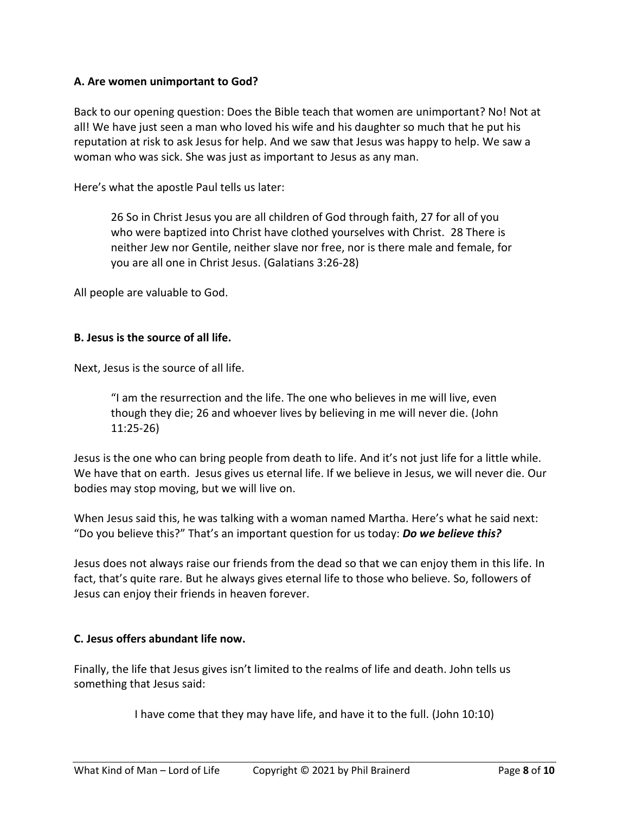### **A. Are women unimportant to God?**

Back to our opening question: Does the Bible teach that women are unimportant? No! Not at all! We have just seen a man who loved his wife and his daughter so much that he put his reputation at risk to ask Jesus for help. And we saw that Jesus was happy to help. We saw a woman who was sick. She was just as important to Jesus as any man.

Here's what the apostle Paul tells us later:

26 So in Christ Jesus you are all children of God through faith, 27 for all of you who were baptized into Christ have clothed yourselves with Christ. 28 There is neither Jew nor Gentile, neither slave nor free, nor is there male and female, for you are all one in Christ Jesus. (Galatians 3:26-28)

All people are valuable to God.

#### **B. Jesus is the source of all life.**

Next, Jesus is the source of all life.

"I am the resurrection and the life. The one who believes in me will live, even though they die; 26 and whoever lives by believing in me will never die. (John 11:25-26)

Jesus is the one who can bring people from death to life. And it's not just life for a little while. We have that on earth. Jesus gives us eternal life. If we believe in Jesus, we will never die. Our bodies may stop moving, but we will live on.

When Jesus said this, he was talking with a woman named Martha. Here's what he said next: "Do you believe this?" That's an important question for us today: *Do we believe this?*

Jesus does not always raise our friends from the dead so that we can enjoy them in this life. In fact, that's quite rare. But he always gives eternal life to those who believe. So, followers of Jesus can enjoy their friends in heaven forever.

#### **C. Jesus offers abundant life now.**

Finally, the life that Jesus gives isn't limited to the realms of life and death. John tells us something that Jesus said:

I have come that they may have life, and have it to the full. (John 10:10)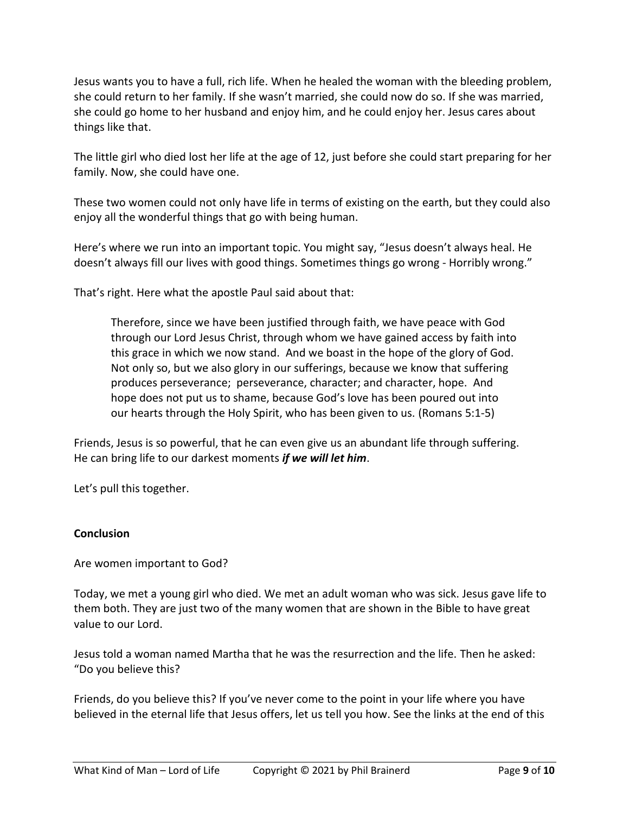Jesus wants you to have a full, rich life. When he healed the woman with the bleeding problem, she could return to her family. If she wasn't married, she could now do so. If she was married, she could go home to her husband and enjoy him, and he could enjoy her. Jesus cares about things like that.

The little girl who died lost her life at the age of 12, just before she could start preparing for her family. Now, she could have one.

These two women could not only have life in terms of existing on the earth, but they could also enjoy all the wonderful things that go with being human.

Here's where we run into an important topic. You might say, "Jesus doesn't always heal. He doesn't always fill our lives with good things. Sometimes things go wrong - Horribly wrong."

That's right. Here what the apostle Paul said about that:

Therefore, since we have been justified through faith, we have peace with God through our Lord Jesus Christ, through whom we have gained access by faith into this grace in which we now stand. And we boast in the hope of the glory of God. Not only so, but we also glory in our sufferings, because we know that suffering produces perseverance; perseverance, character; and character, hope. And hope does not put us to shame, because God's love has been poured out into our hearts through the Holy Spirit, who has been given to us. (Romans 5:1-5)

Friends, Jesus is so powerful, that he can even give us an abundant life through suffering. He can bring life to our darkest moments *if we will let him*.

Let's pull this together.

## **Conclusion**

Are women important to God?

Today, we met a young girl who died. We met an adult woman who was sick. Jesus gave life to them both. They are just two of the many women that are shown in the Bible to have great value to our Lord.

Jesus told a woman named Martha that he was the resurrection and the life. Then he asked: "Do you believe this?

Friends, do you believe this? If you've never come to the point in your life where you have believed in the eternal life that Jesus offers, let us tell you how. See the links at the end of this